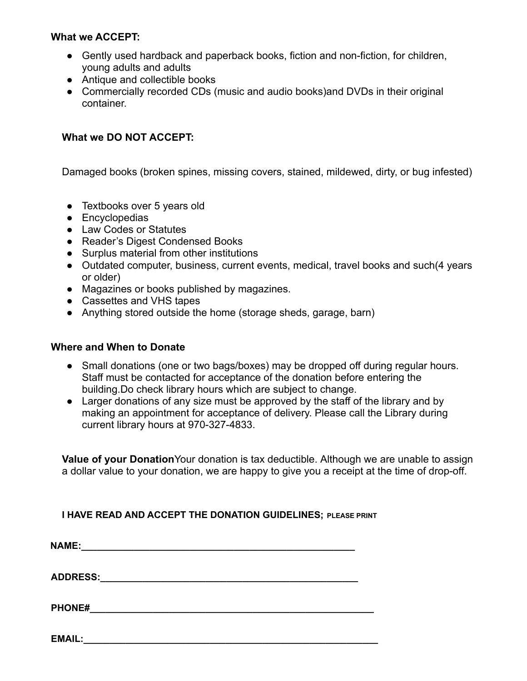## **What we ACCEPT:**

- Gently used hardback and paperback books, fiction and non-fiction, for children, young adults and adults
- Antique and collectible books
- Commercially recorded CDs (music and audio books)and DVDs in their original container.

## **What we DO NOT ACCEPT:**

Damaged books (broken spines, missing covers, stained, mildewed, dirty, or bug infested)

- Textbooks over 5 years old
- Encyclopedias
- Law Codes or Statutes
- Reader's Digest Condensed Books
- Surplus material from other institutions
- Outdated computer, business, current events, medical, travel books and such(4 years or older)
- Magazines or books published by magazines.
- Cassettes and VHS tapes
- Anything stored outside the home (storage sheds, garage, barn)

## **Where and When to Donate**

- Small donations (one or two bags/boxes) may be dropped off during regular hours. Staff must be contacted for acceptance of the donation before entering the building.Do check library hours which are subject to change.
- Larger donations of any size must be approved by the staff of the library and by making an appointment for acceptance of delivery. Please call the Library during current library hours at 970-327-4833.

**Value of your Donation**Your donation is tax deductible. Although we are unable to assign a dollar value to your donation, we are happy to give you a receipt at the time of drop-off.

**I HAVE READ AND ACCEPT THE DONATION GUIDELINES; PLEASE PRINT**

| <b>NAME:</b>    |  |  |  |
|-----------------|--|--|--|
| <b>ADDRESS:</b> |  |  |  |
| <b>PHONE#</b>   |  |  |  |

**EMAIL:\_\_\_\_\_\_\_\_\_\_\_\_\_\_\_\_\_\_\_\_\_\_\_\_\_\_\_\_\_\_\_\_\_\_\_\_\_\_\_\_\_\_\_\_\_\_\_\_\_\_\_\_\_\_\_\_**